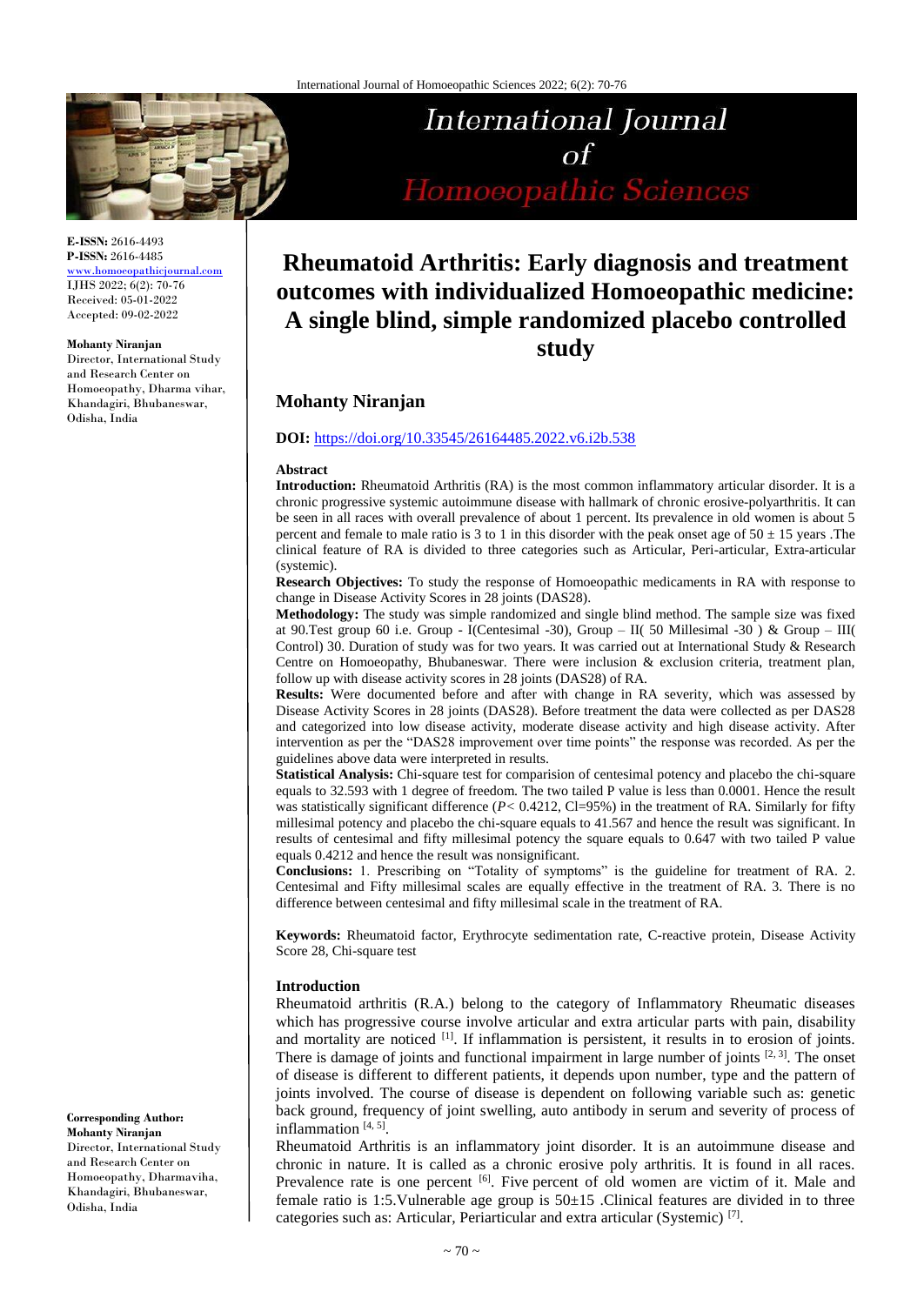

**E-ISSN:** 2616-4493 **P-ISSN:** 2616-4485 [www.homoeopathicjournal.com](file://Server/test/homoeopathicjournal/issue/vol%204/issue%201/www.homoeopathicjournal.com)

IJHS 2022; 6(2): 70-76 Received: 05-01-2022 Accepted: 09-02-2022

#### **Mohanty Niranjan**

Director, International Study and Research Center on Homoeopathy, Dharma vihar, Khandagiri, Bhubaneswar, Odisha, India

International Journal  $\alpha f$ Homoeopathic Sciences

# **Rheumatoid Arthritis: Early diagnosis and treatment outcomes with individualized Homoeopathic medicine: A single blind, simple randomized placebo controlled study**

# **Mohanty Niranjan**

#### **DOI:** <https://doi.org/10.33545/26164485.2022.v6.i2b.538>

#### **Abstract**

**Introduction:** Rheumatoid Arthritis (RA) is the most common inflammatory articular disorder. It is a chronic progressive systemic autoimmune disease with hallmark of chronic erosive-polyarthritis. It can be seen in all races with overall prevalence of about 1 percent. Its prevalence in old women is about 5 percent and female to male ratio is 3 to 1 in this disorder with the peak onset age of  $50 \pm 15$  years. The clinical feature of RA is divided to three categories such as Articular, Peri-articular, Extra-articular (systemic).

**Research Objectives:** To study the response of Homoeopathic medicaments in RA with response to change in Disease Activity Scores in 28 joints (DAS28).

**Methodology:** The study was simple randomized and single blind method. The sample size was fixed at 90.Test group 60 i.e. Group - I(Centesimal -30), Group – II( 50 Millesimal -30 ) & Group – III( Control) 30. Duration of study was for two years. It was carried out at International Study & Research Centre on Homoeopathy, Bhubaneswar. There were inclusion & exclusion criteria, treatment plan, follow up with disease activity scores in 28 joints (DAS28) of RA.

**Results:** Were documented before and after with change in RA severity, which was assessed by Disease Activity Scores in 28 joints (DAS28). Before treatment the data were collected as per DAS28 and categorized into low disease activity, moderate disease activity and high disease activity. After intervention as per the "DAS28 improvement over time points" the response was recorded. As per the guidelines above data were interpreted in results.

**Statistical Analysis:** Chi-square test for comparision of centesimal potency and placebo the chi-square equals to 32.593 with 1 degree of freedom. The two tailed P value is less than 0.0001. Hence the result was statistically significant difference (*P*< 0.4212, Cl=95%) in the treatment of RA. Similarly for fifty millesimal potency and placebo the chi-square equals to 41.567 and hence the result was significant. In results of centesimal and fifty millesimal potency the square equals to 0.647 with two tailed P value equals 0.4212 and hence the result was nonsignificant.

**Conclusions:** 1. Prescribing on "Totality of symptoms" is the guideline for treatment of RA. 2. Centesimal and Fifty millesimal scales are equally effective in the treatment of RA. 3. There is no difference between centesimal and fifty millesimal scale in the treatment of RA.

**Keywords:** Rheumatoid factor, Erythrocyte sedimentation rate, C-reactive protein, Disease Activity Score 28, Chi-square test

#### **Introduction**

Rheumatoid arthritis (R.A.) belong to the category of Inflammatory Rheumatic diseases which has progressive course involve articular and extra articular parts with pain, disability and mortality are noticed [1]. If inflammation is persistent, it results in to erosion of joints. There is damage of joints and functional impairment in large number of joints  $[2, 3]$ . The onset of disease is different to different patients, it depends upon number, type and the pattern of joints involved. The course of disease is dependent on following variable such as: genetic back ground, frequency of joint swelling, auto antibody in serum and severity of process of inflammation<sup>[4, 5]</sup>.

Rheumatoid Arthritis is an inflammatory joint disorder. It is an autoimmune disease and chronic in nature. It is called as a chronic erosive poly arthritis. It is found in all races. Prevalence rate is one percent [6]. Five percent of old women are victim of it. Male and female ratio is 1:5.Vulnerable age group is  $50\pm 15$  .Clinical features are divided in to three categories such as: Articular, Periarticular and extra articular (Systemic)<sup>[7]</sup>.

**Corresponding Author: Mohanty Niranjan** Director, International Study and Research Center on Homoeopathy, Dharmaviha, Khandagiri, Bhubaneswar, Odisha, India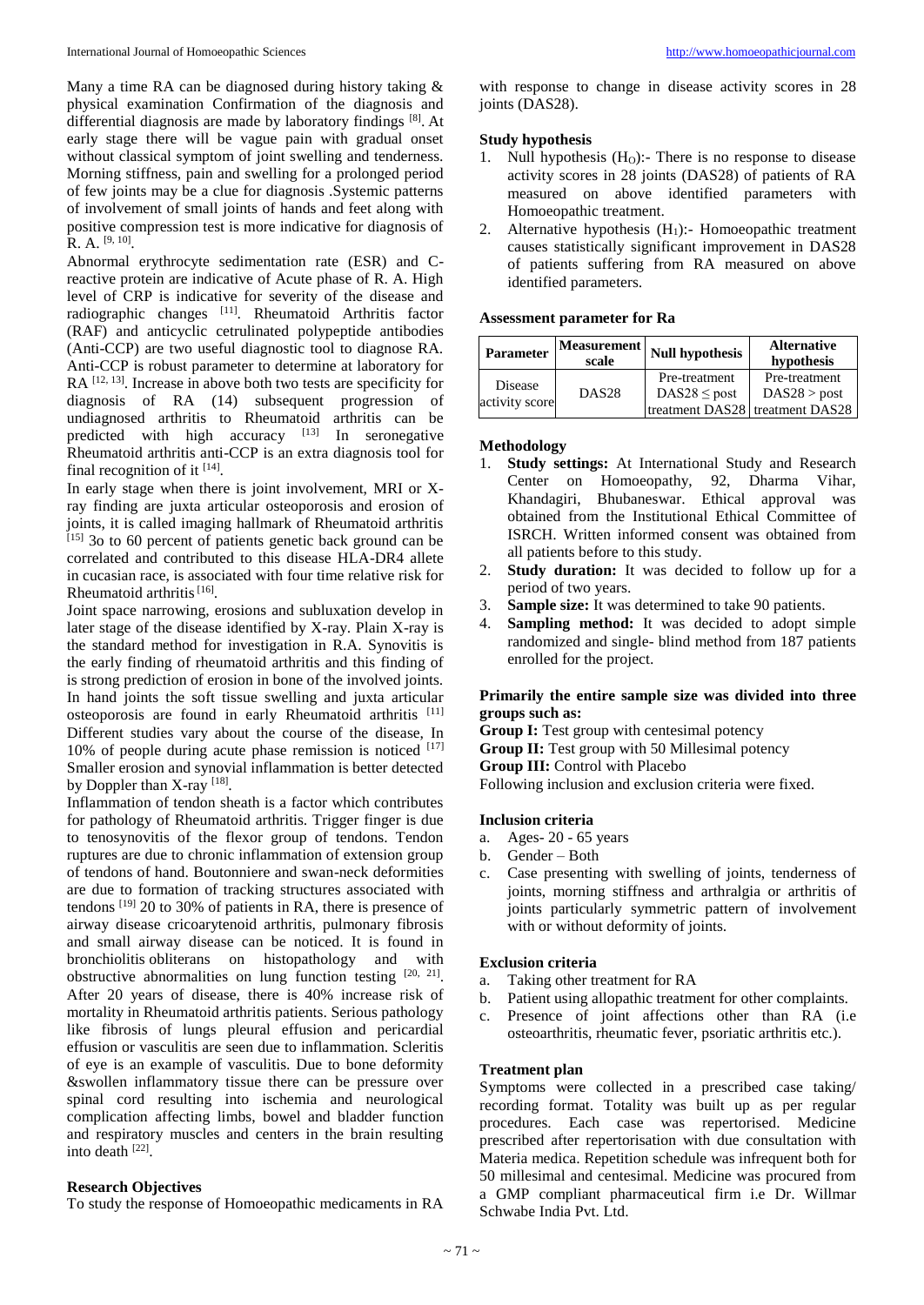Many a time RA can be diagnosed during history taking & physical examination Confirmation of the diagnosis and differential diagnosis are made by laboratory findings [8]. At early stage there will be vague pain with gradual onset without classical symptom of joint swelling and tenderness. Morning stiffness, pain and swelling for a prolonged period of few joints may be a clue for diagnosis .Systemic patterns of involvement of small joints of hands and feet along with positive compression test is more indicative for diagnosis of R. A. <sup>[9, 10]</sup>.

Abnormal erythrocyte sedimentation rate (ESR) and Creactive protein are indicative of Acute phase of R. A. High level of CRP is indicative for severity of the disease and radiographic changes [11]. Rheumatoid Arthritis factor (RAF) and anticyclic cetrulinated polypeptide antibodies (Anti-CCP) are two useful diagnostic tool to diagnose RA. Anti-CCP is robust parameter to determine at laboratory for RA  $[12, 13]$ . Increase in above both two tests are specificity for diagnosis of RA (14) subsequent progression of undiagnosed arthritis to Rheumatoid arthritis can be predicted with high accuracy <sup>[13]</sup> In seronegative Rheumatoid arthritis anti-CCP is an extra diagnosis tool for final recognition of it  $^{[14]}$ .

In early stage when there is joint involvement, MRI or Xray finding are juxta articular osteoporosis and erosion of joints, it is called imaging hallmark of Rheumatoid arthritis  $[15]$  3o to 60 percent of patients genetic back ground can be correlated and contributed to this disease HLA-DR4 allete in cucasian race, is associated with four time relative risk for Rheumatoid arthritis<sup>[16]</sup>.

Joint space narrowing, erosions and subluxation develop in later stage of the disease identified by X-ray. Plain X-ray is the standard method for investigation in R.A. Synovitis is the early finding of rheumatoid arthritis and this finding of is strong prediction of erosion in bone of the involved joints. In hand joints the soft tissue swelling and juxta articular osteoporosis are found in early Rheumatoid arthritis [11] Different studies vary about the course of the disease, In 10% of people during acute phase remission is noticed [17] Smaller erosion and synovial inflammation is better detected by Doppler than X-ray [18].

Inflammation of tendon sheath is a factor which contributes for pathology of Rheumatoid arthritis. Trigger finger is due to tenosynovitis of the flexor group of tendons. Tendon ruptures are due to chronic inflammation of extension group of tendons of hand. Boutonniere and swan-neck deformities are due to formation of tracking structures associated with tendons [19] 20 to 30% of patients in RA, there is presence of airway disease cricoarytenoid arthritis, pulmonary fibrosis and small airway disease can be noticed. It is found in bronchiolitis obliterans on histopathology and with obstructive abnormalities on lung function testing  $[20, 21]$ . After 20 years of disease, there is 40% increase risk of mortality in Rheumatoid arthritis patients. Serious pathology like fibrosis of lungs pleural effusion and pericardial effusion or vasculitis are seen due to inflammation. Scleritis of eye is an example of vasculitis. Due to bone deformity &swollen inflammatory tissue there can be pressure over spinal cord resulting into ischemia and neurological complication affecting limbs, bowel and bladder function and respiratory muscles and centers in the brain resulting into death [22] .

#### **Research Objectives**

To study the response of Homoeopathic medicaments in RA

with response to change in disease activity scores in 28 joints (DAS28).

## **Study hypothesis**

- 1. Null hypothesis (H<sub>O</sub>):- There is no response to disease activity scores in 28 joints (DAS28) of patients of RA measured on above identified parameters with Homoeopathic treatment.
- 2. Alternative hypothesis  $(H_1)$ :- Homoeopathic treatment causes statistically significant improvement in DAS28 of patients suffering from RA measured on above identified parameters.

#### **Assessment parameter for Ra**

| <b>Parameter</b>          | <b>Measurement</b><br>scale | <b>Null hypothesis</b> | <b>Alternative</b><br>hypothesis                |
|---------------------------|-----------------------------|------------------------|-------------------------------------------------|
| Disease<br>activity score | DAS <sub>28</sub>           | Pre-treatment          | Pre-treatment                                   |
|                           |                             | $DAS28 \leq post$      | DAS28 > post<br>treatment DAS28 treatment DAS28 |

#### **Methodology**

- 1. **Study settings:** At International Study and Research Center on Homoeopathy, 92, Dharma Vihar, Khandagiri, Bhubaneswar. Ethical approval was obtained from the Institutional Ethical Committee of ISRCH. Written informed consent was obtained from all patients before to this study.
- 2. **Study duration:** It was decided to follow up for a period of two years.
- 3. **Sample size:** It was determined to take 90 patients.
- 4. **Sampling method:** It was decided to adopt simple randomized and single- blind method from 187 patients enrolled for the project.

## **Primarily the entire sample size was divided into three groups such as:**

**Group I:** Test group with centesimal potency

**Group II:** Test group with 50 Millesimal potency

**Group III:** Control with Placebo

Following inclusion and exclusion criteria were fixed.

### **Inclusion criteria**

- a. Ages- 20 65 years
- b. Gender Both
- c. Case presenting with swelling of joints, tenderness of joints, morning stiffness and arthralgia or arthritis of joints particularly symmetric pattern of involvement with or without deformity of joints.

## **Exclusion criteria**

- a. Taking other treatment for RA
- b. Patient using allopathic treatment for other complaints.
- c. Presence of joint affections other than RA (i.e osteoarthritis, rheumatic fever, psoriatic arthritis etc.).

## **Treatment plan**

Symptoms were collected in a prescribed case taking/ recording format. Totality was built up as per regular procedures. Each case was repertorised. Medicine prescribed after repertorisation with due consultation with Materia medica. Repetition schedule was infrequent both for 50 millesimal and centesimal. Medicine was procured from a GMP compliant pharmaceutical firm i.e Dr. Willmar Schwabe India Pvt. Ltd.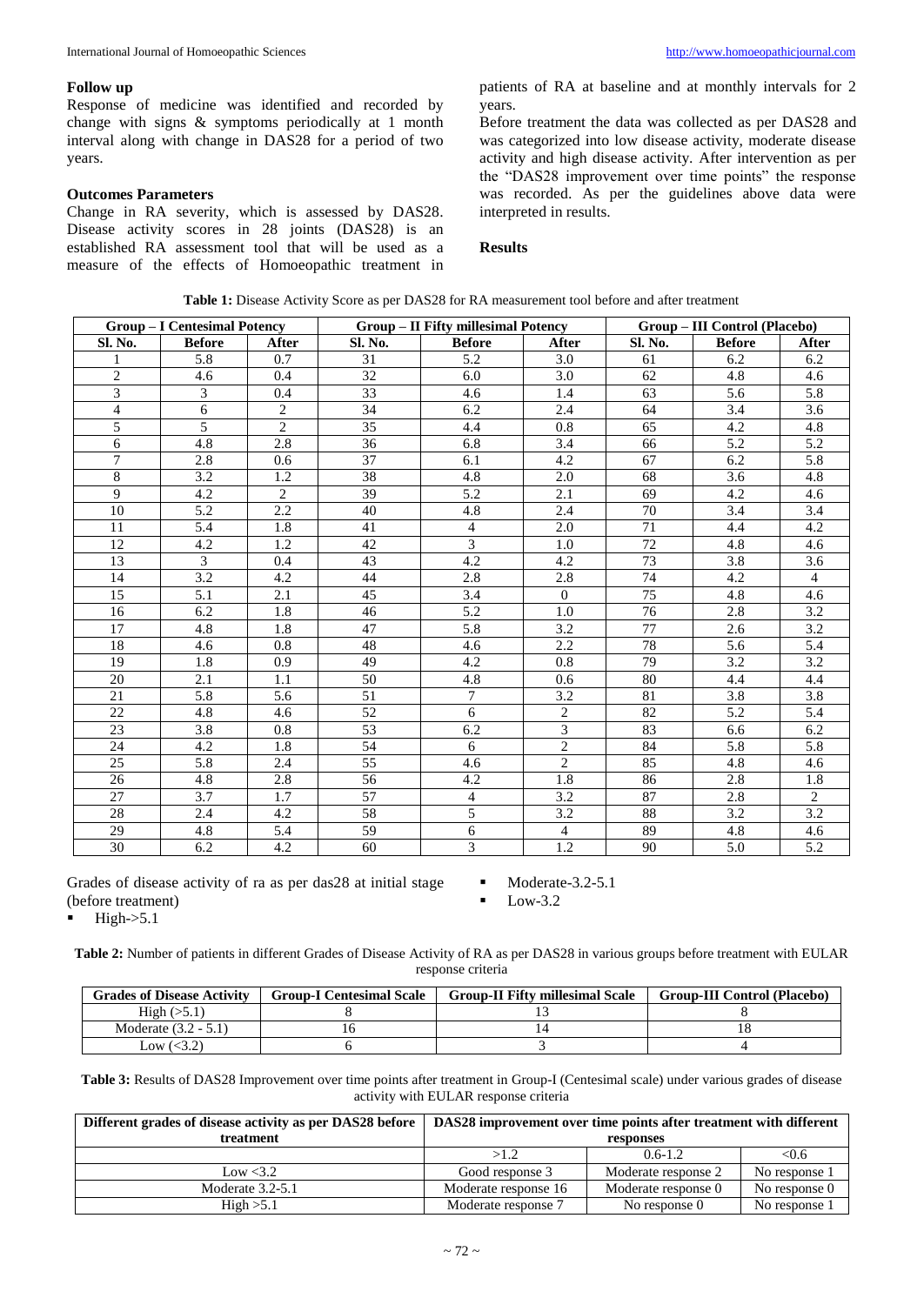#### **Follow up**

Response of medicine was identified and recorded by change with signs & symptoms periodically at 1 month interval along with change in DAS28 for a period of two years.

### **Outcomes Parameters**

Change in RA severity, which is assessed by DAS28. Disease activity scores in 28 joints (DAS28) is an established RA assessment tool that will be used as a measure of the effects of Homoeopathic treatment in patients of RA at baseline and at monthly intervals for 2 years.

Before treatment the data was collected as per DAS28 and was categorized into low disease activity, moderate disease activity and high disease activity. After intervention as per the "DAS28 improvement over time points" the response was recorded. As per the guidelines above data were interpreted in results.

#### **Results**

| <b>Group - I Centesimal Potency</b> |                  | Group - II Fifty millesimal Potency |                 |                          | Group - III Control (Placebo) |                 |                  |                  |
|-------------------------------------|------------------|-------------------------------------|-----------------|--------------------------|-------------------------------|-----------------|------------------|------------------|
| Sl. No.                             | <b>Before</b>    | After                               | Sl. No.         | <b>Before</b>            | After                         | Sl. No.         | <b>Before</b>    | After            |
|                                     | 5.8              | 0.7                                 | 31              | $\overline{5.2}$         | 3.0                           | 61              | 6.2              | 6.2              |
| $\overline{2}$                      | 4.6              | 0.4                                 | $\overline{32}$ | 6.0                      | 3.0                           | 62              | 4.8              | 4.6              |
| $\overline{3}$                      | 3                | 0.4                                 | $\overline{33}$ | 4.6                      | 1.4                           | 63              | 5.6              | 5.8              |
| $\overline{4}$                      | $\overline{6}$   | $\overline{2}$                      | 34              | 6.2                      | 2.4                           | 64              | $\overline{3.4}$ | $\overline{3.6}$ |
| 5                                   | 5                | $\overline{c}$                      | 35              | 4.4                      | $\overline{0.8}$              | 65              | 4.2              | 4.8              |
| 6                                   | 4.8              | 2.8                                 | 36              | 6.8                      | 3.4                           | 66              | $\overline{5.2}$ | $\overline{5.2}$ |
| 7                                   | 2.8              | 0.6                                 | $\overline{37}$ | 6.1                      | 4.2                           | 67              | 6.2              | $\overline{5.8}$ |
| $\overline{8}$                      | $\overline{3.2}$ | $\overline{1.2}$                    | 38              | $\overline{4.8}$         | $\overline{2.0}$              | 68              | 3.6              | $\overline{4.8}$ |
| $\overline{9}$                      | 4.2              | $\overline{2}$                      | $\overline{39}$ | 5.2                      | 2.1                           | 69              | 4.2              | 4.6              |
| 10                                  | $\overline{5.2}$ | 2.2                                 | 40              | 4.8                      | 2.4                           | 70              | 3.4              | $\overline{3.4}$ |
| 11                                  | 5.4              | 1.8                                 | 41              | $\overline{4}$           | 2.0                           | 71              | 4.4              | 4.2              |
| 12                                  | 4.2              | 1.2                                 | 42              | 3                        | 1.0                           | 72              | 4.8              | 4.6              |
| 13                                  | 3                | 0.4                                 | 43              | 4.2                      | 4.2                           | $\overline{73}$ | 3.8              | 3.6              |
| 14                                  | 3.2              | 4.2                                 | 44              | 2.8                      | 2.8                           | 74              | 4.2              | $\overline{4}$   |
| 15                                  | 5.1              | 2.1                                 | 45              | 3.4                      | $\mathbf{0}$                  | 75              | 4.8              | 4.6              |
| 16                                  | 6.2              | 1.8                                 | 46              | 5.2                      | 1.0                           | 76              | 2.8              | 3.2              |
| 17                                  | 4.8              | 1.8                                 | 47              | $\overline{5.8}$         | 3.2                           | $\overline{77}$ | 2.6              | 3.2              |
| 18                                  | 4.6              | 0.8                                 | 48              | 4.6                      | 2.2                           | 78              | 5.6              | 5.4              |
| 19                                  | 1.8              | 0.9                                 | 49              | 4.2                      | 0.8                           | 79              | 3.2              | 3.2              |
| 20                                  | 2.1              | 1.1                                 | 50              | 4.8                      | 0.6                           | 80              | 4.4              | 4.4              |
| 21                                  | 5.8              | 5.6                                 | 51              | 7                        | 3.2                           | 81              | $\overline{3.8}$ | 3.8              |
| 22                                  | 4.8              | 4.6                                 | 52              | 6                        | $\overline{c}$                | 82              | 5.2              | 5.4              |
| 23                                  | 3.8              | 0.8                                 | 53              | 6.2                      | $\overline{3}$                | 83              | 6.6              | 6.2              |
| $\overline{24}$                     | 4.2              | 1.8                                 | 54              | 6                        | $\overline{2}$                | 84              | 5.8              | 5.8              |
| $\overline{25}$                     | $\overline{5.8}$ | 2.4                                 | $\overline{55}$ | 4.6                      | $\overline{2}$                | 85              | 4.8              | 4.6              |
| $\overline{26}$                     | $\overline{4.8}$ | 2.8                                 | 56              | 4.2                      | 1.8                           | 86              | 2.8              | $\overline{1.8}$ |
| 27                                  | 3.7              | 1.7                                 | 57              | $\overline{\mathcal{L}}$ | $\overline{3.2}$              | 87              | 2.8              | $\overline{2}$   |
| 28                                  | 2.4              | 4.2                                 | $\overline{58}$ | 5                        | 3.2                           | 88              | 3.2              | 3.2              |
| 29                                  | 4.8              | 5.4                                 | 59              | 6                        | $\overline{4}$                | 89              | 4.8              | 4.6              |
| $\overline{30}$                     | 6.2              | 4.2                                 | 60              | $\overline{3}$           | $\overline{1.2}$              | 90              | $\overline{5.0}$ | $\overline{5.2}$ |

**Table 1:** Disease Activity Score as per DAS28 for RA measurement tool before and after treatment

Grades of disease activity of ra as per das28 at initial stage (before treatment)

High->5.1

Moderate-3.2-5.1

Low-3.2

**Table 2:** Number of patients in different Grades of Disease Activity of RA as per DAS28 in various groups before treatment with EULAR response criteria

| <b>Grades of Disease Activity</b> | <b>Group-I Centesimal Scale</b> | <b>Group-II Fifty millesimal Scale</b> | <b>Group-III Control (Placebo)</b> |
|-----------------------------------|---------------------------------|----------------------------------------|------------------------------------|
| High $(5.1)$                      |                                 |                                        |                                    |
| Moderate $(3.2 - 5.1)$            |                                 |                                        |                                    |
| Low $\langle 3.2 \rangle$         |                                 |                                        |                                    |

**Table 3:** Results of DAS28 Improvement over time points after treatment in Group-I (Centesimal scale) under various grades of disease activity with EULAR response criteria

| Different grades of disease activity as per DAS28 before | DAS28 improvement over time points after treatment with different |                     |               |
|----------------------------------------------------------|-------------------------------------------------------------------|---------------------|---------------|
| treatment                                                | responses                                                         |                     |               |
|                                                          | >1.2                                                              | $0.6 - 1.2$         | $<$ 0.6       |
| Low $<3.2$                                               | Good response 3                                                   | Moderate response 2 | No response 1 |
| Moderate $3.2-5.1$                                       | Moderate response 16                                              | Moderate response 0 | No response 0 |
| High > 5.1                                               | Moderate response 7                                               | No response 0       | No response 1 |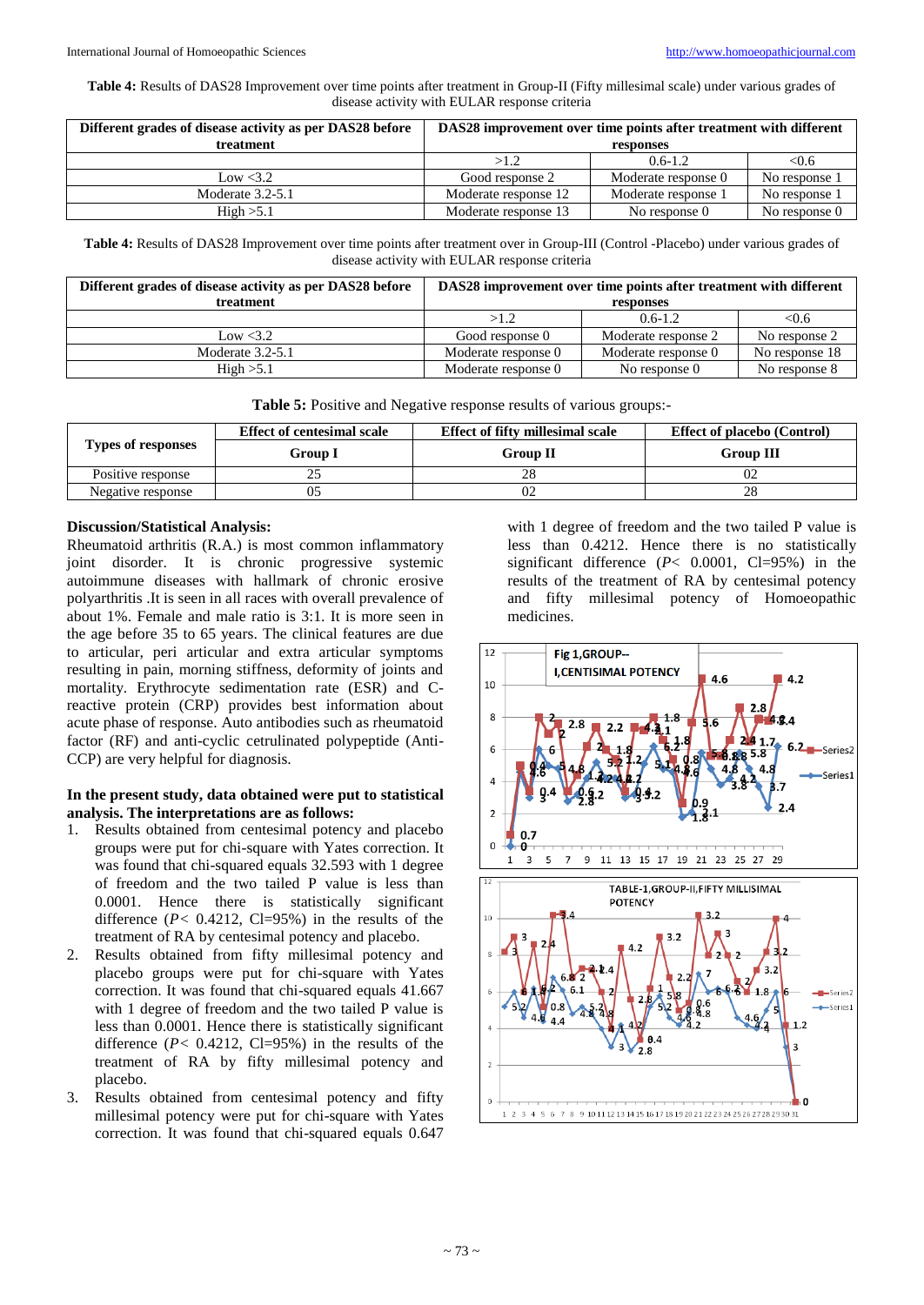**Table 4:** Results of DAS28 Improvement over time points after treatment in Group-II (Fifty millesimal scale) under various grades of disease activity with EULAR response criteria

| Different grades of disease activity as per DAS28 before | DAS28 improvement over time points after treatment with different |                     |               |  |
|----------------------------------------------------------|-------------------------------------------------------------------|---------------------|---------------|--|
| treatment                                                | responses                                                         |                     |               |  |
|                                                          | >1.2                                                              | $0.6 - 1.2$         | < 0.6         |  |
| Low < 3.2                                                | Good response 2                                                   | Moderate response 0 | No response 1 |  |
| Moderate $3.2 - 5.1$                                     | Moderate response 12                                              | Moderate response 1 | No response 1 |  |
| High > 5.1                                               | Moderate response 13                                              | No response 0       | No response 0 |  |

**Table 4:** Results of DAS28 Improvement over time points after treatment over in Group-III (Control -Placebo) under various grades of disease activity with EULAR response criteria

| Different grades of disease activity as per DAS28 before | DAS28 improvement over time points after treatment with different |                     |                |  |
|----------------------------------------------------------|-------------------------------------------------------------------|---------------------|----------------|--|
| treatment                                                | responses                                                         |                     |                |  |
|                                                          | >1.2                                                              | $0.6 - 1.2$         | < 0.6          |  |
| Low $<3.2$                                               | Good response 0                                                   | Moderate response 2 | No response 2  |  |
| Moderate $3.2 - 5.1$                                     | Moderate response 0                                               | Moderate response 0 | No response 18 |  |
| High > 5.1                                               | Moderate response 0                                               | No response 0       | No response 8  |  |

**Table 5:** Positive and Negative response results of various groups:-

|                    | <b>Effect of fifty millesimal scale</b><br><b>Effect of centesimal scale</b> |                 | <b>Effect of placebo (Control)</b> |  |
|--------------------|------------------------------------------------------------------------------|-----------------|------------------------------------|--|
| Types of responses | Group I                                                                      | <b>Group II</b> | <b>Group III</b>                   |  |
| Positive response  | ت                                                                            |                 |                                    |  |
| Negative response  |                                                                              |                 | 28                                 |  |

## **Discussion/Statistical Analysis:**

Rheumatoid arthritis (R.A.) is most common inflammatory joint disorder. It is chronic progressive systemic autoimmune diseases with hallmark of chronic erosive polyarthritis .It is seen in all races with overall prevalence of about 1%. Female and male ratio is 3:1. It is more seen in the age before 35 to 65 years. The clinical features are due to articular, peri articular and extra articular symptoms resulting in pain, morning stiffness, deformity of joints and mortality. Erythrocyte sedimentation rate (ESR) and Creactive protein (CRP) provides best information about acute phase of response. Auto antibodies such as rheumatoid factor (RF) and anti-cyclic cetrulinated polypeptide (Anti-CCP) are very helpful for diagnosis.

# **In the present study, data obtained were put to statistical analysis. The interpretations are as follows:**

- 1. Results obtained from centesimal potency and placebo groups were put for chi-square with Yates correction. It was found that chi-squared equals 32.593 with 1 degree of freedom and the two tailed P value is less than 0.0001. Hence there is statistically significant difference  $(P< 0.4212, C=95%)$  in the results of the treatment of RA by centesimal potency and placebo.
- 2. Results obtained from fifty millesimal potency and placebo groups were put for chi-square with Yates correction. It was found that chi-squared equals 41.667 with 1 degree of freedom and the two tailed P value is less than 0.0001. Hence there is statistically significant difference  $(P< 0.4212, C1=95%)$  in the results of the treatment of RA by fifty millesimal potency and placebo.
- 3. Results obtained from centesimal potency and fifty millesimal potency were put for chi-square with Yates correction. It was found that chi-squared equals 0.647

with 1 degree of freedom and the two tailed P value is less than 0.4212. Hence there is no statistically significant difference  $(P< 0.0001, Cl=95%)$  in the results of the treatment of RA by centesimal potency and fifty millesimal potency of Homoeopathic medicines.

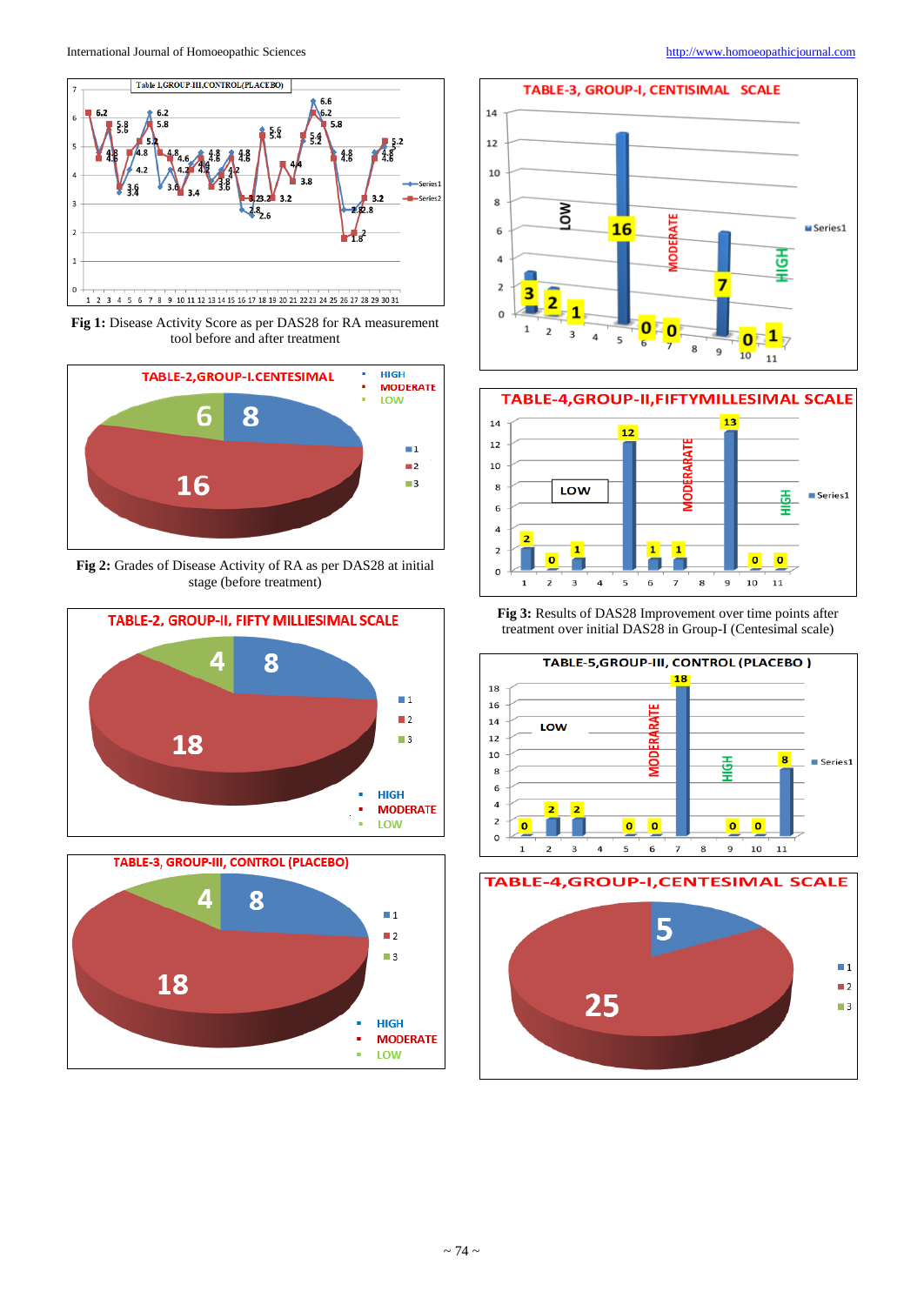

**Fig 1:** Disease Activity Score as per DAS28 for RA measurement tool before and after treatment



**Fig 2:** Grades of Disease Activity of RA as per DAS28 at initial stage (before treatment)









**Fig 3:** Results of DAS28 Improvement over time points after treatment over initial DAS28 in Group-I (Centesimal scale)



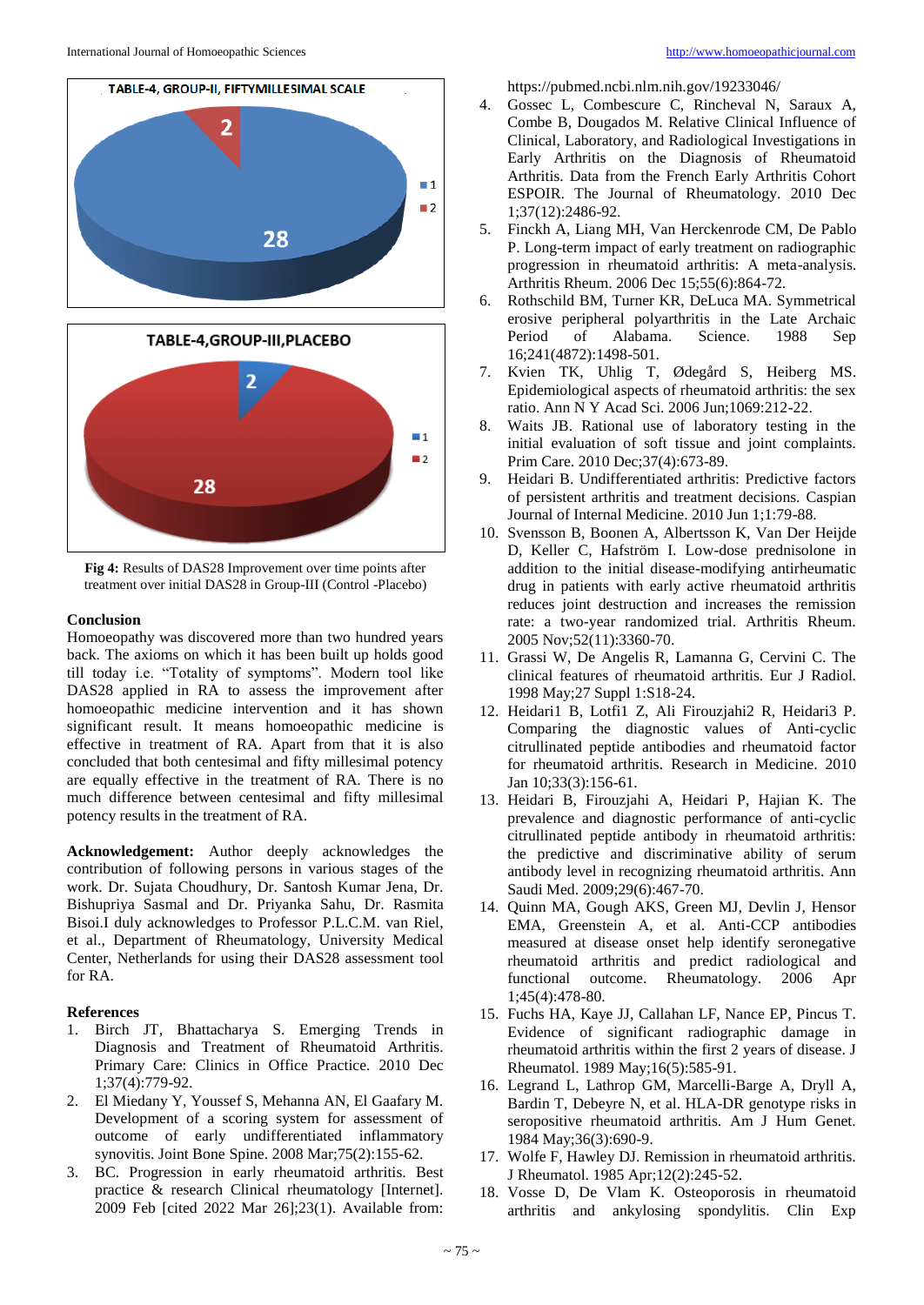



**Fig 4:** Results of DAS28 Improvement over time points after treatment over initial DAS28 in Group-III (Control -Placebo)

#### **Conclusion**

Homoeopathy was discovered more than two hundred years back. The axioms on which it has been built up holds good till today i.e. "Totality of symptoms". Modern tool like DAS28 applied in RA to assess the improvement after homoeopathic medicine intervention and it has shown significant result. It means homoeopathic medicine is effective in treatment of RA. Apart from that it is also concluded that both centesimal and fifty millesimal potency are equally effective in the treatment of RA. There is no much difference between centesimal and fifty millesimal potency results in the treatment of RA.

**Acknowledgement:** Author deeply acknowledges the contribution of following persons in various stages of the work. Dr. Sujata Choudhury, Dr. Santosh Kumar Jena, Dr. Bishupriya Sasmal and Dr. Priyanka Sahu, Dr. Rasmita Bisoi.I duly acknowledges to Professor P.L.C.M. van Riel, et al., Department of Rheumatology, University Medical Center, Netherlands for using their DAS28 assessment tool for RA.

#### **References**

- 1. Birch JT, Bhattacharya S. Emerging Trends in Diagnosis and Treatment of Rheumatoid Arthritis. Primary Care: Clinics in Office Practice. 2010 Dec 1;37(4):779-92.
- 2. El Miedany Y, Youssef S, Mehanna AN, El Gaafary M. Development of a scoring system for assessment of outcome of early undifferentiated inflammatory synovitis. Joint Bone Spine. 2008 Mar;75(2):155-62.
- 3. BC. Progression in early rheumatoid arthritis. Best practice & research Clinical rheumatology [Internet]. 2009 Feb [cited 2022 Mar 26];23(1). Available from:

https://pubmed.ncbi.nlm.nih.gov/19233046/

- 4. Gossec L, Combescure C, Rincheval N, Saraux A, Combe B, Dougados M. Relative Clinical Influence of Clinical, Laboratory, and Radiological Investigations in Early Arthritis on the Diagnosis of Rheumatoid Arthritis. Data from the French Early Arthritis Cohort ESPOIR. The Journal of Rheumatology. 2010 Dec 1;37(12):2486-92.
- 5. Finckh A, Liang MH, Van Herckenrode CM, De Pablo P. Long-term impact of early treatment on radiographic progression in rheumatoid arthritis: A meta-analysis. Arthritis Rheum. 2006 Dec 15;55(6):864-72.
- 6. Rothschild BM, Turner KR, DeLuca MA. Symmetrical erosive peripheral polyarthritis in the Late Archaic Period of Alabama. Science. 1988 Sep 16;241(4872):1498-501.
- 7. Kvien TK, Uhlig T, Ødegård S, Heiberg MS. Epidemiological aspects of rheumatoid arthritis: the sex ratio. Ann N Y Acad Sci. 2006 Jun;1069:212-22.
- Waits JB. Rational use of laboratory testing in the initial evaluation of soft tissue and joint complaints. Prim Care. 2010 Dec;37(4):673-89.
- 9. Heidari B. Undifferentiated arthritis: Predictive factors of persistent arthritis and treatment decisions. Caspian Journal of Internal Medicine. 2010 Jun 1;1:79-88.
- 10. Svensson B, Boonen A, Albertsson K, Van Der Heijde D, Keller C, Hafström I. Low-dose prednisolone in addition to the initial disease-modifying antirheumatic drug in patients with early active rheumatoid arthritis reduces joint destruction and increases the remission rate: a two-year randomized trial. Arthritis Rheum. 2005 Nov;52(11):3360-70.
- 11. Grassi W, De Angelis R, Lamanna G, Cervini C. The clinical features of rheumatoid arthritis. Eur J Radiol. 1998 May;27 Suppl 1:S18-24.
- 12. Heidari1 B, Lotfi1 Z, Ali Firouzjahi2 R, Heidari3 P. Comparing the diagnostic values of Anti-cyclic citrullinated peptide antibodies and rheumatoid factor for rheumatoid arthritis. Research in Medicine. 2010 Jan 10;33(3):156-61.
- 13. Heidari B, Firouzjahi A, Heidari P, Hajian K. The prevalence and diagnostic performance of anti-cyclic citrullinated peptide antibody in rheumatoid arthritis: the predictive and discriminative ability of serum antibody level in recognizing rheumatoid arthritis. Ann Saudi Med. 2009;29(6):467-70.
- 14. Quinn MA, Gough AKS, Green MJ, Devlin J, Hensor EMA, Greenstein A, et al. Anti-CCP antibodies measured at disease onset help identify seronegative rheumatoid arthritis and predict radiological and functional outcome. Rheumatology. 2006 Apr 1;45(4):478-80.
- 15. Fuchs HA, Kaye JJ, Callahan LF, Nance EP, Pincus T. Evidence of significant radiographic damage in rheumatoid arthritis within the first 2 years of disease. J Rheumatol. 1989 May;16(5):585-91.
- 16. Legrand L, Lathrop GM, Marcelli-Barge A, Dryll A, Bardin T, Debeyre N, et al. HLA-DR genotype risks in seropositive rheumatoid arthritis. Am J Hum Genet. 1984 May;36(3):690-9.
- 17. Wolfe F, Hawley DJ. Remission in rheumatoid arthritis. J Rheumatol. 1985 Apr;12(2):245-52.
- 18. Vosse D, De Vlam K. Osteoporosis in rheumatoid arthritis and ankylosing spondylitis. Clin Exp